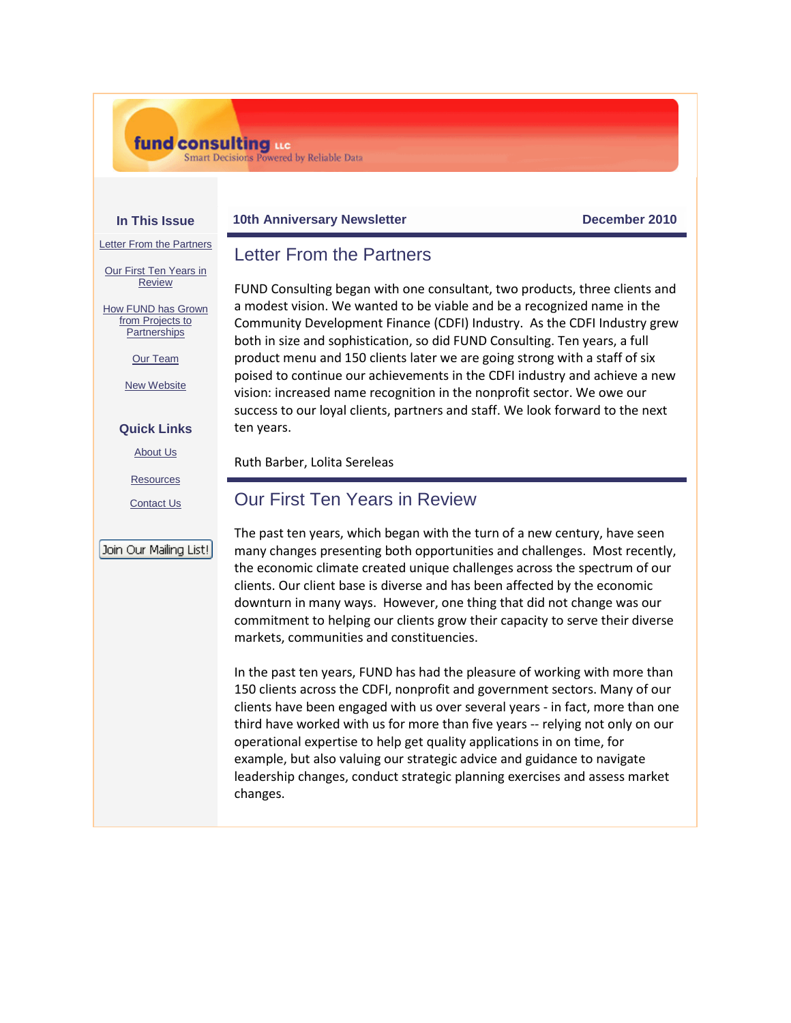## fund consulting us

**Smart Decisions Powered by Reliable Data** 

#### **In This Issue**

### **10th Anniversary Newsletter Community Community December 2010**

[Letter From the Partners](https://ui.constantcontact.com/visualeditor/visual_editor_preview.jsp?agent.uid=1104089015090#LETTER.BLOCK7)

[Our First Ten Years in](https://ui.constantcontact.com/visualeditor/visual_editor_preview.jsp?agent.uid=1104089015090#LETTER.BLOCK9)  **[Review](https://ui.constantcontact.com/visualeditor/visual_editor_preview.jsp?agent.uid=1104089015090#LETTER.BLOCK9)** 

[How FUND has Grown](https://ui.constantcontact.com/visualeditor/visual_editor_preview.jsp?agent.uid=1104089015090#LETTER.BLOCK11)  [from Projects to](https://ui.constantcontact.com/visualeditor/visual_editor_preview.jsp?agent.uid=1104089015090#LETTER.BLOCK11)  **[Partnerships](https://ui.constantcontact.com/visualeditor/visual_editor_preview.jsp?agent.uid=1104089015090#LETTER.BLOCK11)** 

[Our Team](https://ui.constantcontact.com/visualeditor/visual_editor_preview.jsp?agent.uid=1104089015090#LETTER.BLOCK26)

[New Website](https://ui.constantcontact.com/visualeditor/visual_editor_preview.jsp?agent.uid=1104089015090#LETTER.BLOCK29)

### **Quick Links**

[About Us](http://www.fundconsulting.com/about/index.shtml)

**[Resources](http://www.fundconsulting.com/resources/index.shtml)** 

[Contact Us](http://www.fundconsulting.com/contact/index.shtml)

### Join Our Mailing List!

# Letter From the Partners

FUND Consulting began with one consultant, two products, three clients and a modest vision. We wanted to be viable and be a recognized name in the Community Development Finance (CDFI) Industry. As the CDFI Industry grew both in size and sophistication, so did FUND Consulting. Ten years, a full product menu and 150 clients later we are going strong with a staff of six poised to continue our achievements in the CDFI industry and achieve a new vision: increased name recognition in the nonprofit sector. We owe our success to our loyal clients, partners and staff. We look forward to the next ten years.

Ruth Barber, Lolita Sereleas

## Our First Ten Years in Review

The past ten years, which began with the turn of a new century, have seen many changes presenting both opportunities and challenges. Most recently, the economic climate created unique challenges across the spectrum of our clients. Our client base is diverse and has been affected by the economic downturn in many ways. However, one thing that did not change was our commitment to helping our clients grow their capacity to serve their diverse markets, communities and constituencies.

In the past ten years, FUND has had the pleasure of working with more than 150 clients across the CDFI, nonprofit and government sectors. Many of our clients have been engaged with us over several years - in fact, more than one third have worked with us for more than five years -- relying not only on our operational expertise to help get quality applications in on time, for example, but also valuing our strategic advice and guidance to navigate leadership changes, conduct strategic planning exercises and assess market changes.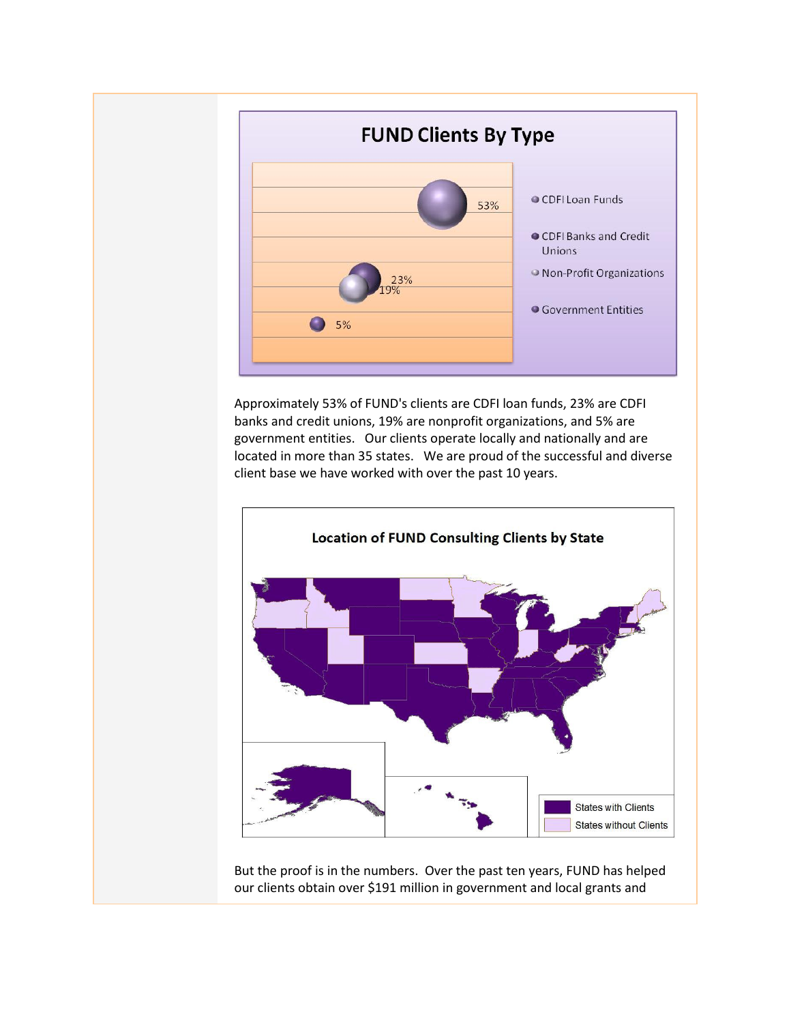

Approximately 53% of FUND's clients are CDFI loan funds, 23% are CDFI banks and credit unions, 19% are nonprofit organizations, and 5% are government entities. Our clients operate locally and nationally and are located in more than 35 states. We are proud of the successful and diverse client base we have worked with over the past 10 years.



But the proof is in the numbers. Over the past ten years, FUND has helped our clients obtain over \$191 million in government and local grants and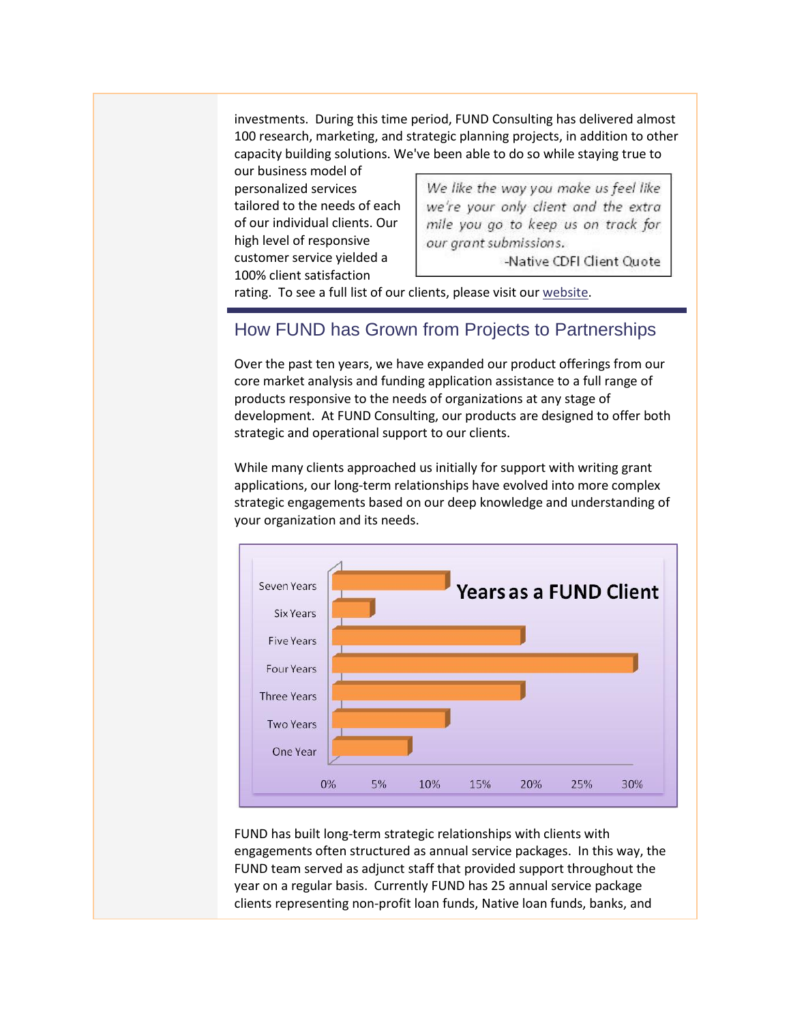investments. During this time period, FUND Consulting has delivered almost 100 research, marketing, and strategic planning projects, in addition to other capacity building solutions. We've been able to do so while staying true to

our business model of personalized services tailored to the needs of each of our individual clients. Our high level of responsive customer service yielded a 100% client satisfaction

We like the way you make us feel like we're your only client and the extra mile you go to keep us on track for our grant submissions.

-Native CDFI Client Quote

rating. To see a full list of our clients, please visit our [website.](http://www.fundconsulting.com/)

## How FUND has Grown from Projects to Partnerships

Over the past ten years, we have expanded our product offerings from our core market analysis and funding application assistance to a full range of products responsive to the needs of organizations at any stage of development. At FUND Consulting, our products are designed to offer both strategic and operational support to our clients.

While many clients approached us initially for support with writing grant applications, our long-term relationships have evolved into more complex strategic engagements based on our deep knowledge and understanding of your organization and its needs.



FUND has built long-term strategic relationships with clients with engagements often structured as annual service packages. In this way, the FUND team served as adjunct staff that provided support throughout the year on a regular basis. Currently FUND has 25 annual service package clients representing non-profit loan funds, Native loan funds, banks, and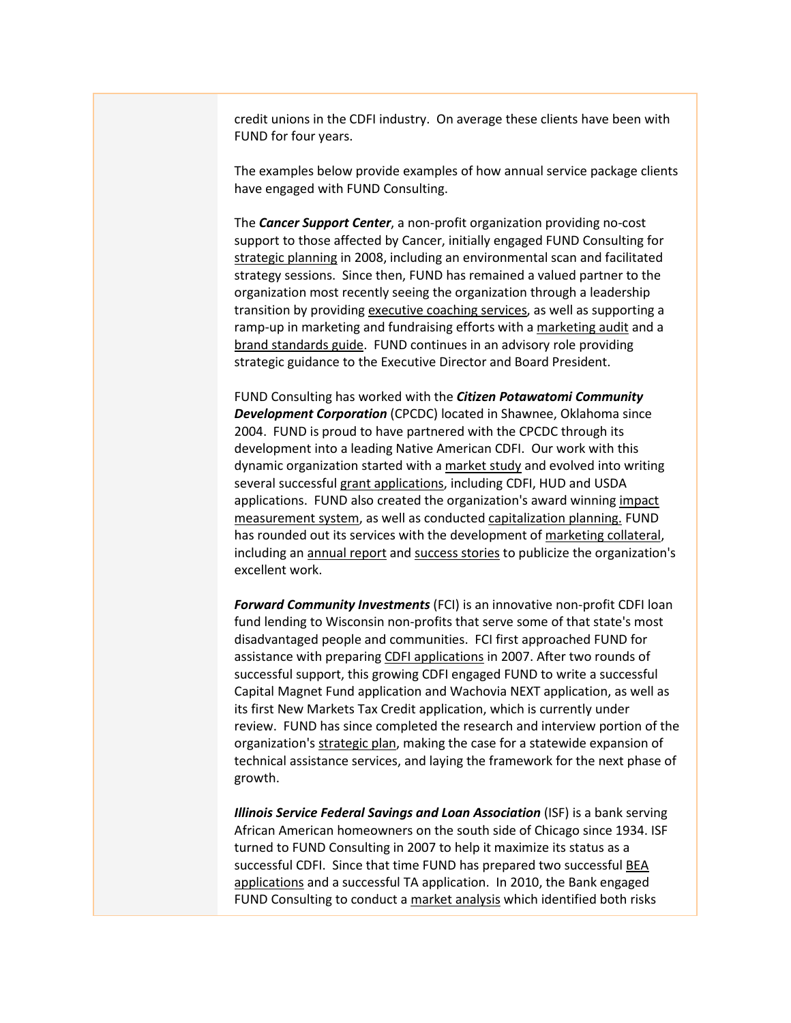credit unions in the CDFI industry. On average these clients have been with FUND for four years.

The examples below provide examples of how annual service package clients have engaged with FUND Consulting.

The *Cancer Support Center*, a non-profit organization providing no-cost support to those affected by Cancer, initially engaged FUND Consulting for strategic planning in 2008, including an environmental scan and facilitated strategy sessions. Since then, FUND has remained a valued partner to the organization most recently seeing the organization through a leadership transition by providing executive coaching services, as well as supporting a ramp-up in marketing and fundraising efforts with a marketing audit and a brand standards guide. FUND continues in an advisory role providing strategic guidance to the Executive Director and Board President.

FUND Consulting has worked with the *Citizen Potawatomi Community Development Corporation* (CPCDC) located in Shawnee, Oklahoma since 2004. FUND is proud to have partnered with the CPCDC through its development into a leading Native American CDFI. Our work with this dynamic organization started with a market study and evolved into writing several successful grant applications, including CDFI, HUD and USDA applications. FUND also created the organization's award winning impact measurement system, as well as conducted capitalization planning. FUND has rounded out its services with the development of marketing collateral, including an annual report and success stories to publicize the organization's excellent work.

*Forward Community Investments* (FCI) is an innovative non-profit CDFI loan fund lending to Wisconsin non-profits that serve some of that state's most disadvantaged people and communities. FCI first approached FUND for assistance with preparing CDFI applications in 2007. After two rounds of successful support, this growing CDFI engaged FUND to write a successful Capital Magnet Fund application and Wachovia NEXT application, as well as its first New Markets Tax Credit application, which is currently under review. FUND has since completed the research and interview portion of the organization's strategic plan, making the case for a statewide expansion of technical assistance services, and laying the framework for the next phase of growth.

*Illinois Service Federal Savings and Loan Association* (ISF) is a bank serving African American homeowners on the south side of Chicago since 1934. ISF turned to FUND Consulting in 2007 to help it maximize its status as a successful CDFI. Since that time FUND has prepared two successful BEA applications and a successful TA application. In 2010, the Bank engaged FUND Consulting to conduct a market analysis which identified both risks